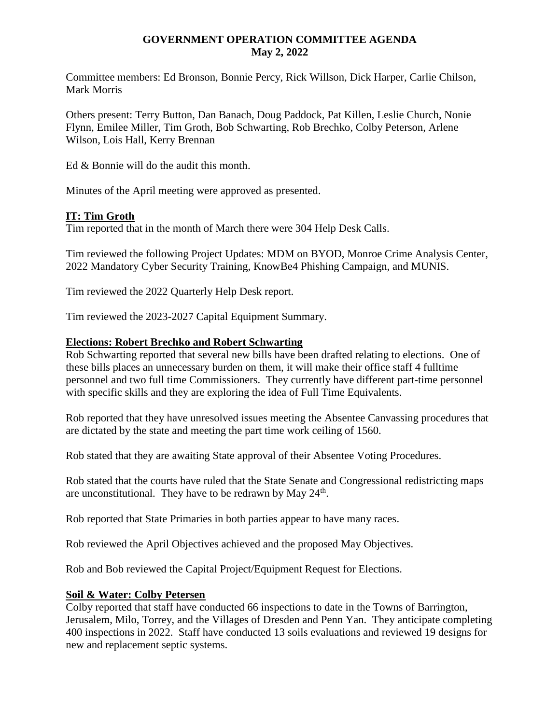### **GOVERNMENT OPERATION COMMITTEE AGENDA May 2, 2022**

Committee members: Ed Bronson, Bonnie Percy, Rick Willson, Dick Harper, Carlie Chilson, Mark Morris

Others present: Terry Button, Dan Banach, Doug Paddock, Pat Killen, Leslie Church, Nonie Flynn, Emilee Miller, Tim Groth, Bob Schwarting, Rob Brechko, Colby Peterson, Arlene Wilson, Lois Hall, Kerry Brennan

Ed & Bonnie will do the audit this month.

Minutes of the April meeting were approved as presented.

### **IT: Tim Groth**

Tim reported that in the month of March there were 304 Help Desk Calls.

Tim reviewed the following Project Updates: MDM on BYOD, Monroe Crime Analysis Center, 2022 Mandatory Cyber Security Training, KnowBe4 Phishing Campaign, and MUNIS.

Tim reviewed the 2022 Quarterly Help Desk report.

Tim reviewed the 2023-2027 Capital Equipment Summary.

#### **Elections: Robert Brechko and Robert Schwarting**

Rob Schwarting reported that several new bills have been drafted relating to elections. One of these bills places an unnecessary burden on them, it will make their office staff 4 fulltime personnel and two full time Commissioners. They currently have different part-time personnel with specific skills and they are exploring the idea of Full Time Equivalents.

Rob reported that they have unresolved issues meeting the Absentee Canvassing procedures that are dictated by the state and meeting the part time work ceiling of 1560.

Rob stated that they are awaiting State approval of their Absentee Voting Procedures.

Rob stated that the courts have ruled that the State Senate and Congressional redistricting maps are unconstitutional. They have to be redrawn by May  $24<sup>th</sup>$ .

Rob reported that State Primaries in both parties appear to have many races.

Rob reviewed the April Objectives achieved and the proposed May Objectives.

Rob and Bob reviewed the Capital Project/Equipment Request for Elections.

#### **Soil & Water: Colby Petersen**

Colby reported that staff have conducted 66 inspections to date in the Towns of Barrington, Jerusalem, Milo, Torrey, and the Villages of Dresden and Penn Yan. They anticipate completing 400 inspections in 2022. Staff have conducted 13 soils evaluations and reviewed 19 designs for new and replacement septic systems.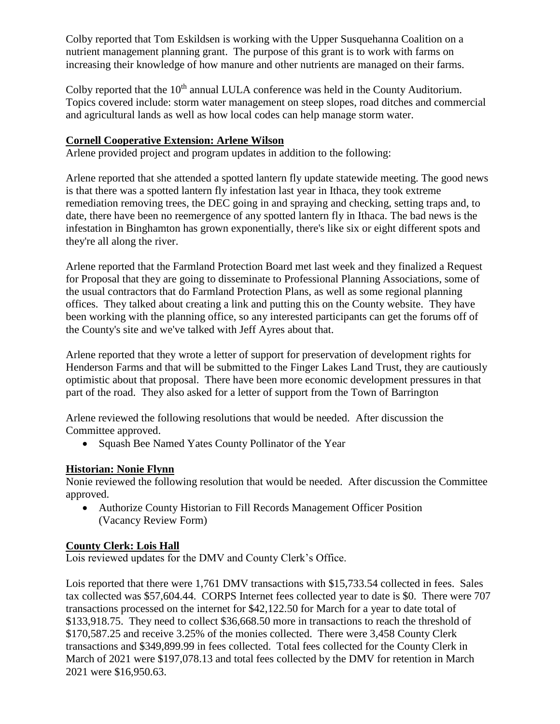Colby reported that Tom Eskildsen is working with the Upper Susquehanna Coalition on a nutrient management planning grant. The purpose of this grant is to work with farms on increasing their knowledge of how manure and other nutrients are managed on their farms.

Colby reported that the 10<sup>th</sup> annual LULA conference was held in the County Auditorium. Topics covered include: storm water management on steep slopes, road ditches and commercial and agricultural lands as well as how local codes can help manage storm water.

## **Cornell Cooperative Extension: Arlene Wilson**

Arlene provided project and program updates in addition to the following:

Arlene reported that she attended a spotted lantern fly update statewide meeting. The good news is that there was a spotted lantern fly infestation last year in Ithaca, they took extreme remediation removing trees, the DEC going in and spraying and checking, setting traps and, to date, there have been no reemergence of any spotted lantern fly in Ithaca. The bad news is the infestation in Binghamton has grown exponentially, there's like six or eight different spots and they're all along the river.

Arlene reported that the Farmland Protection Board met last week and they finalized a Request for Proposal that they are going to disseminate to Professional Planning Associations, some of the usual contractors that do Farmland Protection Plans, as well as some regional planning offices. They talked about creating a link and putting this on the County website. They have been working with the planning office, so any interested participants can get the forums off of the County's site and we've talked with Jeff Ayres about that.

Arlene reported that they wrote a letter of support for preservation of development rights for Henderson Farms and that will be submitted to the Finger Lakes Land Trust, they are cautiously optimistic about that proposal. There have been more economic development pressures in that part of the road. They also asked for a letter of support from the Town of Barrington

Arlene reviewed the following resolutions that would be needed. After discussion the Committee approved.

• Squash Bee Named Yates County Pollinator of the Year

# **Historian: Nonie Flynn**

Nonie reviewed the following resolution that would be needed. After discussion the Committee approved.

 Authorize County Historian to Fill Records Management Officer Position (Vacancy Review Form)

# **County Clerk: Lois Hall**

Lois reviewed updates for the DMV and County Clerk's Office.

Lois reported that there were 1,761 DMV transactions with \$15,733.54 collected in fees. Sales tax collected was \$57,604.44. CORPS Internet fees collected year to date is \$0. There were 707 transactions processed on the internet for \$42,122.50 for March for a year to date total of \$133,918.75. They need to collect \$36,668.50 more in transactions to reach the threshold of \$170,587.25 and receive 3.25% of the monies collected. There were 3,458 County Clerk transactions and \$349,899.99 in fees collected. Total fees collected for the County Clerk in March of 2021 were \$197,078.13 and total fees collected by the DMV for retention in March 2021 were \$16,950.63.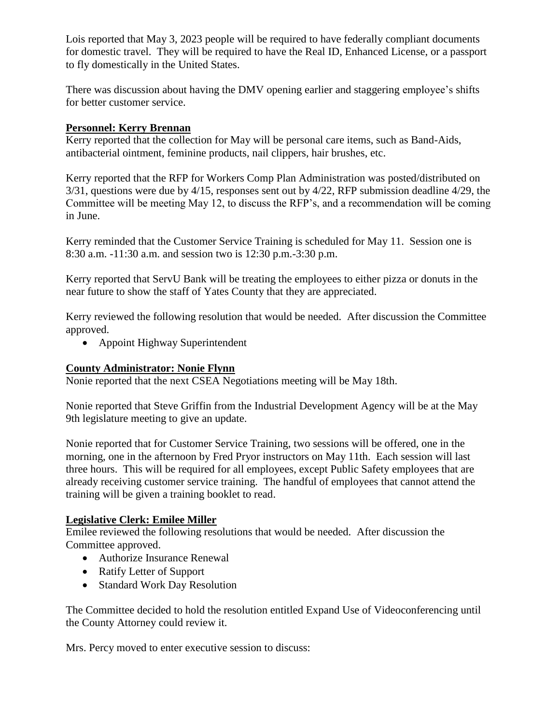Lois reported that May 3, 2023 people will be required to have federally compliant documents for domestic travel. They will be required to have the Real ID, Enhanced License, or a passport to fly domestically in the United States.

There was discussion about having the DMV opening earlier and staggering employee's shifts for better customer service.

### **Personnel: Kerry Brennan**

Kerry reported that the collection for May will be personal care items, such as Band-Aids, antibacterial ointment, feminine products, nail clippers, hair brushes, etc.

Kerry reported that the RFP for Workers Comp Plan Administration was posted/distributed on 3/31, questions were due by 4/15, responses sent out by 4/22, RFP submission deadline 4/29, the Committee will be meeting May 12, to discuss the RFP's, and a recommendation will be coming in June.

Kerry reminded that the Customer Service Training is scheduled for May 11. Session one is 8:30 a.m. -11:30 a.m. and session two is 12:30 p.m.-3:30 p.m.

Kerry reported that ServU Bank will be treating the employees to either pizza or donuts in the near future to show the staff of Yates County that they are appreciated.

Kerry reviewed the following resolution that would be needed. After discussion the Committee approved.

• Appoint Highway Superintendent

## **County Administrator: Nonie Flynn**

Nonie reported that the next CSEA Negotiations meeting will be May 18th.

Nonie reported that Steve Griffin from the Industrial Development Agency will be at the May 9th legislature meeting to give an update.

Nonie reported that for Customer Service Training, two sessions will be offered, one in the morning, one in the afternoon by Fred Pryor instructors on May 11th. Each session will last three hours. This will be required for all employees, except Public Safety employees that are already receiving customer service training. The handful of employees that cannot attend the training will be given a training booklet to read.

# **Legislative Clerk: Emilee Miller**

Emilee reviewed the following resolutions that would be needed. After discussion the Committee approved.

- Authorize Insurance Renewal
- Ratify Letter of Support
- Standard Work Day Resolution

The Committee decided to hold the resolution entitled Expand Use of Videoconferencing until the County Attorney could review it.

Mrs. Percy moved to enter executive session to discuss: